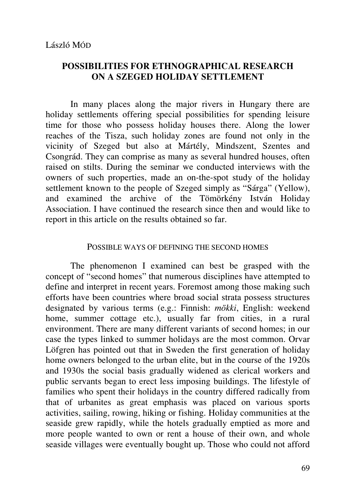# **POSSIBILITIES FOR ETHNOGRAPHICAL RESEARCH ON A SZEGED HOLIDAY SETTLEMENT**

In many places along the major rivers in Hungary there are holiday settlements offering special possibilities for spending leisure time for those who possess holiday houses there. Along the lower reaches of the Tisza, such holiday zones are found not only in the vicinity of Szeged but also at Mártély, Mindszent, Szentes and Csongrád. They can comprise as many as several hundred houses, often raised on stilts. During the seminar we conducted interviews with the owners of such properties, made an on-the-spot study of the holiday settlement known to the people of Szeged simply as "Sárga" (Yellow), and examined the archive of the Tömörkény István Holiday Association. I have continued the research since then and would like to report in this article on the results obtained so far.

#### POSSIBLE WAYS OF DEFINING THE SECOND HOMES

The phenomenon I examined can best be grasped with the concept of "second homes" that numerous disciplines have attempted to define and interpret in recent years. Foremost among those making such efforts have been countries where broad social strata possess structures designated by various terms (e.g.: Finnish: *mökki*, English: weekend home, summer cottage etc.), usually far from cities, in a rural environment. There are many different variants of second homes; in our case the types linked to summer holidays are the most common. Orvar Löfgren has pointed out that in Sweden the first generation of holiday home owners belonged to the urban elite, but in the course of the 1920s and 1930s the social basis gradually widened as clerical workers and public servants began to erect less imposing buildings. The lifestyle of families who spent their holidays in the country differed radically from that of urbanites as great emphasis was placed on various sports activities, sailing, rowing, hiking or fishing. Holiday communities at the seaside grew rapidly, while the hotels gradually emptied as more and more people wanted to own or rent a house of their own, and whole seaside villages were eventually bought up. Those who could not afford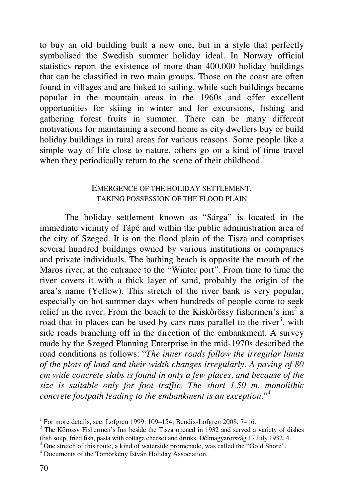to buy an old building built a new one, but in a style that perfectly symbolised the Swedish summer holiday ideal. In Norway official statistics report the existence of more than 400,000 holiday buildings that can be classified in two main groups. Those on the coast are often found in villages and are linked to sailing, while such buildings became popular in the mountain areas in the 1960s and offer excellent opportunities for skiing in winter and for excursions, fishing and gathering forest fruits in summer. There can be many different motivations for maintaining a second home as city dwellers buy or build holiday buildings in rural areas for various reasons. Some people like a simple way of life close to nature, others go on a kind of time travel when they periodically return to the scene of their childhood.<sup>1</sup>

## EMERGENCE OF THE HOLIDAY SETTLEMENT, TAKING POSSESSION OF THE FLOOD PLAIN

The holiday settlement known as "Sárga" is located in the immediate vicinity of Tápé and within the public administration area of the city of Szeged. It is on the flood plain of the Tisza and comprises several hundred buildings owned by various institutions or companies and private individuals. The bathing beach is opposite the mouth of the Maros river, at the entrance to the "Winter port". From time to time the river covers it with a thick layer of sand, probably the origin of the area's name (Yellow). This stretch of the river bank is very popular, especially on hot summer days when hundreds of people come to seek relief in the river. From the beach to the Kiskőrössy fishermen's  $inn<sup>2</sup>$  a road that in places can be used by cars runs parallel to the river<sup>3</sup>, with side roads branching off in the direction of the embankment. A survey made by the Szeged Planning Enterprise in the mid-1970s described the road conditions as follows: "*The inner roads follow the irregular limits of the plots of land and their width changes irregularly. A paving of 80 cm wide concrete slabs is found in only a few places, and because of the size is suitable only for foot traffic. The short 1.50 m. monolithic concrete footpath leading to the embankment is an exception.*" 4

 $\ddot{\phantom{a}}$ 

<sup>&</sup>lt;sup>1</sup> For more details, see: Löfgren 1999. 109–154; Bendix-Löfgren 2008. 7–16.

 $2$  The Kőrössy Fishermen's Inn beside the Tisza opened in 1932 and served a variety of dishes (fish soup, fried fish, pasta with cottage cheese) and drinks. Délmagyarország 17 July 1932. 4.

<sup>3</sup> One stretch of this route, a kind of waterside promenade, was called the "Gold Shore".

<sup>4</sup> Documents of the Tömörkény István Holiday Association.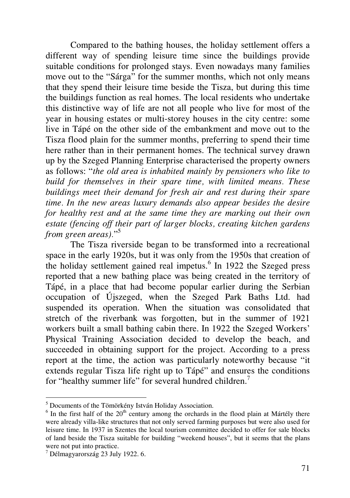Compared to the bathing houses, the holiday settlement offers a different way of spending leisure time since the buildings provide suitable conditions for prolonged stays. Even nowadays many families move out to the "Sárga" for the summer months, which not only means that they spend their leisure time beside the Tisza, but during this time the buildings function as real homes. The local residents who undertake this distinctive way of life are not all people who live for most of the year in housing estates or multi-storey houses in the city centre: some live in Tápé on the other side of the embankment and move out to the Tisza flood plain for the summer months, preferring to spend their time here rather than in their permanent homes. The technical survey drawn up by the Szeged Planning Enterprise characterised the property owners as follows: "*the old area is inhabited mainly by pensioners who like to build for themselves in their spare time, with limited means. These buildings meet their demand for fresh air and rest during their spare time. In the new areas luxury demands also appear besides the desire for healthy rest and at the same time they are marking out their own estate (fencing off their part of larger blocks, creating kitchen gardens from green areas).*" 5

The Tisza riverside began to be transformed into a recreational space in the early 1920s, but it was only from the 1950s that creation of the holiday settlement gained real impetus.<sup>6</sup> In 1922 the Szeged press reported that a new bathing place was being created in the territory of Tápé, in a place that had become popular earlier during the Serbian occupation of Újszeged, when the Szeged Park Baths Ltd. had suspended its operation. When the situation was consolidated that stretch of the riverbank was forgotten, but in the summer of 1921 workers built a small bathing cabin there. In 1922 the Szeged Workers' Physical Training Association decided to develop the beach, and succeeded in obtaining support for the project. According to a press report at the time, the action was particularly noteworthy because "it extends regular Tisza life right up to Tápé" and ensures the conditions for "healthy summer life" for several hundred children.<sup>7</sup>

-

<sup>&</sup>lt;sup>5</sup> Documents of the Tömörkény István Holiday Association.

 $6$  In the first half of the  $20<sup>th</sup>$  century among the orchards in the flood plain at Mártély there were already villa-like structures that not only served farming purposes but were also used for leisure time. In 1937 in Szentes the local tourism committee decided to offer for sale blocks of land beside the Tisza suitable for building "weekend houses", but it seems that the plans were not put into practice.

<sup>7</sup> Délmagyarország 23 July 1922. 6.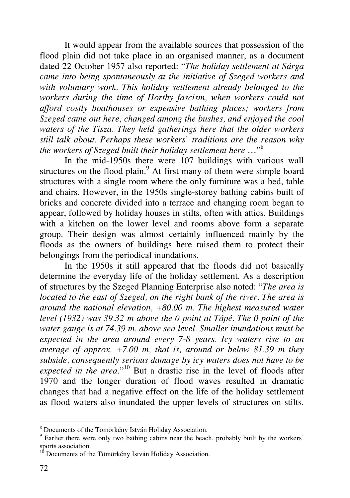It would appear from the available sources that possession of the flood plain did not take place in an organised manner, as a document dated 22 October 1957 also reported: "*The holiday settlement at Sárga came into being spontaneously at the initiative of Szeged workers and with voluntary work. This holiday settlement already belonged to the workers during the time of Horthy fascism, when workers could not afford costly boathouses or expensive bathing places; workers from Szeged came out here, changed among the bushes, and enjoyed the cool waters of the Tisza. They held gatherings here that the older workers still talk about. Perhaps these workers' traditions are the reason why the workers of Szeged built their holiday settlement here* …"<sup>8</sup>

In the mid-1950s there were 107 buildings with various wall structures on the flood plain.<sup>9</sup> At first many of them were simple board structures with a single room where the only furniture was a bed, table and chairs. However, in the 1950s single-storey bathing cabins built of bricks and concrete divided into a terrace and changing room began to appear, followed by holiday houses in stilts, often with attics. Buildings with a kitchen on the lower level and rooms above form a separate group. Their design was almost certainly influenced mainly by the floods as the owners of buildings here raised them to protect their belongings from the periodical inundations.

In the 1950s it still appeared that the floods did not basically determine the everyday life of the holiday settlement. As a description of structures by the Szeged Planning Enterprise also noted: "*The area is located to the east of Szeged, on the right bank of the river. The area is around the national elevation, +80.00 m. The highest measured water level (1932) was 39.32 m above the 0 point at Tápé. The 0 point of the water gauge is at 74.39 m. above sea level. Smaller inundations must be expected in the area around every 7-8 years. Icy waters rise to an average of approx. +7.00 m, that is, around or below 81.39 m they subside, consequently serious damage by icy waters does not have to be expected in the area.*" <sup>10</sup> But a drastic rise in the level of floods after 1970 and the longer duration of flood waves resulted in dramatic changes that had a negative effect on the life of the holiday settlement as flood waters also inundated the upper levels of structures on stilts.

 $\overline{a}$ 

<sup>8</sup> Documents of the Tömörkény István Holiday Association.

<sup>&</sup>lt;sup>9</sup> Earlier there were only two bathing cabins near the beach, probably built by the workers' sports association.

<sup>&</sup>lt;sup>10</sup> Documents of the Tömörkény István Holiday Association.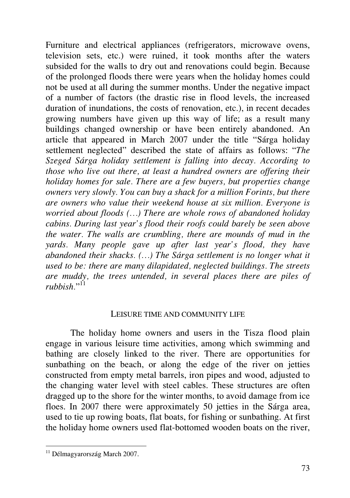Furniture and electrical appliances (refrigerators, microwave ovens, television sets, etc.) were ruined, it took months after the waters subsided for the walls to dry out and renovations could begin. Because of the prolonged floods there were years when the holiday homes could not be used at all during the summer months. Under the negative impact of a number of factors (the drastic rise in flood levels, the increased duration of inundations, the costs of renovation, etc.), in recent decades growing numbers have given up this way of life; as a result many buildings changed ownership or have been entirely abandoned. An article that appeared in March 2007 under the title "Sárga holiday settlement neglected" described the state of affairs as follows: "*The Szeged Sárga holiday settlement is falling into decay. According to those who live out there, at least a hundred owners are offering their holiday homes for sale. There are a few buyers, but properties change owners very slowly. You can buy a shack for a million Forints, but there are owners who value their weekend house at six million. Everyone is worried about floods (…) There are whole rows of abandoned holiday cabins. During last year's flood their roofs could barely be seen above the water. The walls are crumbling, there are mounds of mud in the yards. Many people gave up after last year's flood, they have abandoned their shacks. (…) The Sárga settlement is no longer what it used to be: there are many dilapidated, neglected buildings. The streets are muddy, the trees untended, in several places there are piles of*  rubbish."<sup>11</sup>

### LEISURE TIME AND COMMUNITY LIFE

The holiday home owners and users in the Tisza flood plain engage in various leisure time activities, among which swimming and bathing are closely linked to the river. There are opportunities for sunbathing on the beach, or along the edge of the river on jetties constructed from empty metal barrels, iron pipes and wood, adjusted to the changing water level with steel cables. These structures are often dragged up to the shore for the winter months, to avoid damage from ice floes. In 2007 there were approximately 50 jetties in the Sárga area, used to tie up rowing boats, flat boats, for fishing or sunbathing. At first the holiday home owners used flat-bottomed wooden boats on the river,

-

<sup>&</sup>lt;sup>11</sup> Délmagyarország March 2007.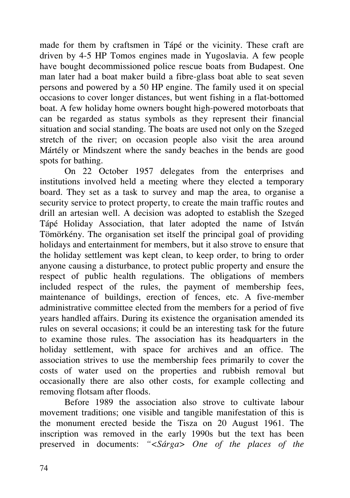made for them by craftsmen in Tápé or the vicinity. These craft are driven by 4-5 HP Tomos engines made in Yugoslavia. A few people have bought decommissioned police rescue boats from Budapest. One man later had a boat maker build a fibre-glass boat able to seat seven persons and powered by a 50 HP engine. The family used it on special occasions to cover longer distances, but went fishing in a flat-bottomed boat. A few holiday home owners bought high-powered motorboats that can be regarded as status symbols as they represent their financial situation and social standing. The boats are used not only on the Szeged stretch of the river; on occasion people also visit the area around Mártély or Mindszent where the sandy beaches in the bends are good spots for bathing.

On 22 October 1957 delegates from the enterprises and institutions involved held a meeting where they elected a temporary board. They set as a task to survey and map the area, to organise a security service to protect property, to create the main traffic routes and drill an artesian well. A decision was adopted to establish the Szeged Tápé Holiday Association, that later adopted the name of István Tömörkény. The organisation set itself the principal goal of providing holidays and entertainment for members, but it also strove to ensure that the holiday settlement was kept clean, to keep order, to bring to order anyone causing a disturbance, to protect public property and ensure the respect of public health regulations. The obligations of members included respect of the rules, the payment of membership fees, maintenance of buildings, erection of fences, etc. A five-member administrative committee elected from the members for a period of five years handled affairs. During its existence the organisation amended its rules on several occasions; it could be an interesting task for the future to examine those rules. The association has its headquarters in the holiday settlement, with space for archives and an office. The association strives to use the membership fees primarily to cover the costs of water used on the properties and rubbish removal but occasionally there are also other costs, for example collecting and removing flotsam after floods.

Before 1989 the association also strove to cultivate labour movement traditions; one visible and tangible manifestation of this is the monument erected beside the Tisza on 20 August 1961. The inscription was removed in the early 1990s but the text has been preserved in documents: *"<Sárga> One of the places of the*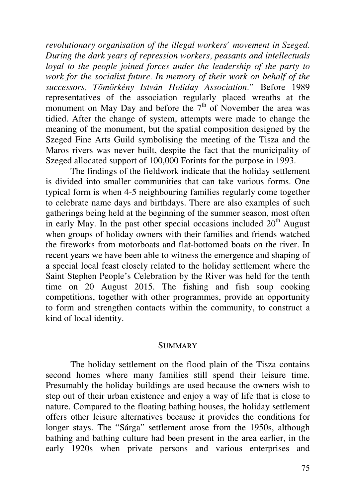*revolutionary organisation of the illegal workers' movement in Szeged. During the dark years of repression workers, peasants and intellectuals loyal to the people joined forces under the leadership of the party to work for the socialist future. In memory of their work on behalf of the successors, Tömörkény István Holiday Association."* Before 1989 representatives of the association regularly placed wreaths at the monument on May Day and before the  $7<sup>th</sup>$  of November the area was tidied. After the change of system, attempts were made to change the meaning of the monument, but the spatial composition designed by the Szeged Fine Arts Guild symbolising the meeting of the Tisza and the Maros rivers was never built, despite the fact that the municipality of Szeged allocated support of 100,000 Forints for the purpose in 1993.

The findings of the fieldwork indicate that the holiday settlement is divided into smaller communities that can take various forms. One typical form is when 4-5 neighbouring families regularly come together to celebrate name days and birthdays. There are also examples of such gatherings being held at the beginning of the summer season, most often in early May. In the past other special occasions included  $20<sup>th</sup>$  August when groups of holiday owners with their families and friends watched the fireworks from motorboats and flat-bottomed boats on the river. In recent years we have been able to witness the emergence and shaping of a special local feast closely related to the holiday settlement where the Saint Stephen People's Celebration by the River was held for the tenth time on 20 August 2015. The fishing and fish soup cooking competitions, together with other programmes, provide an opportunity to form and strengthen contacts within the community, to construct a kind of local identity.

#### **SUMMARY**

The holiday settlement on the flood plain of the Tisza contains second homes where many families still spend their leisure time. Presumably the holiday buildings are used because the owners wish to step out of their urban existence and enjoy a way of life that is close to nature. Compared to the floating bathing houses, the holiday settlement offers other leisure alternatives because it provides the conditions for longer stays. The "Sárga" settlement arose from the 1950s, although bathing and bathing culture had been present in the area earlier, in the early 1920s when private persons and various enterprises and